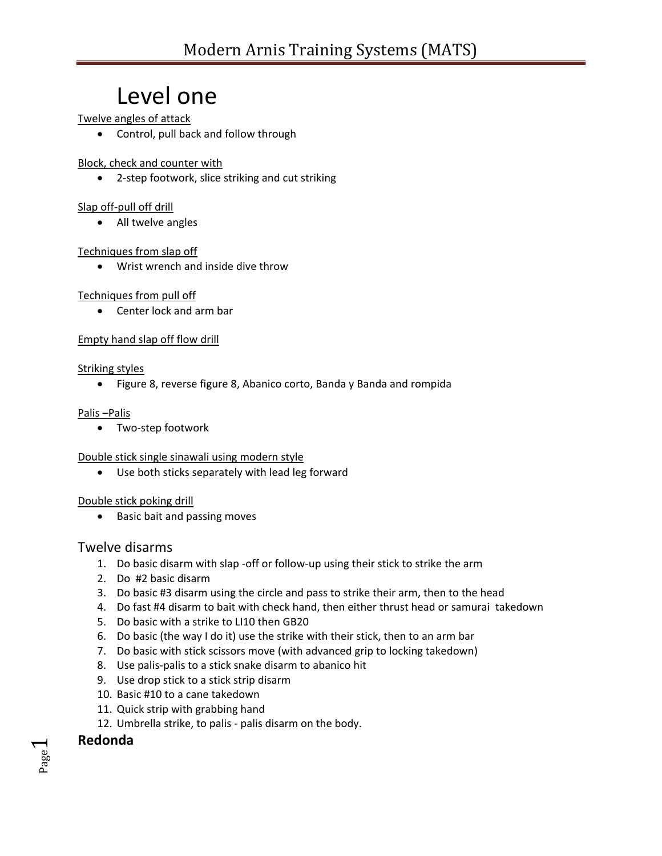## Level one

Twelve angles of attack

Control, pull back and follow through

Block, check and counter with

2-step footwork, slice striking and cut striking

#### Slap off-pull off drill

• All twelve angles

#### Techniques from slap off

Wrist wrench and inside dive throw

#### Techniques from pull off

Center lock and arm bar

#### Empty hand slap off flow drill

#### Striking styles

Figure 8, reverse figure 8, Abanico corto, Banda y Banda and rompida

#### Palis –Palis

Two-step footwork

#### Double stick single sinawali using modern style

Use both sticks separately with lead leg forward

#### Double stick poking drill

• Basic bait and passing moves

#### Twelve disarms

- 1. Do basic disarm with slap -off or follow-up using their stick to strike the arm
- 2. Do #2 basic disarm
- 3. Do basic #3 disarm using the circle and pass to strike their arm, then to the head
- 4. Do fast #4 disarm to bait with check hand, then either thrust head or samurai takedown
- 5. Do basic with a strike to LI10 then GB20
- 6. Do basic (the way I do it) use the strike with their stick, then to an arm bar
- 7. Do basic with stick scissors move (with advanced grip to locking takedown)
- 8. Use palis-palis to a stick snake disarm to abanico hit
- 9. Use drop stick to a stick strip disarm
- 10. Basic #10 to a cane takedown
- 11. Quick strip with grabbing hand
- 12. Umbrella strike, to palis palis disarm on the body.

#### **Redonda**

Page  $\overline{\phantom{0}}$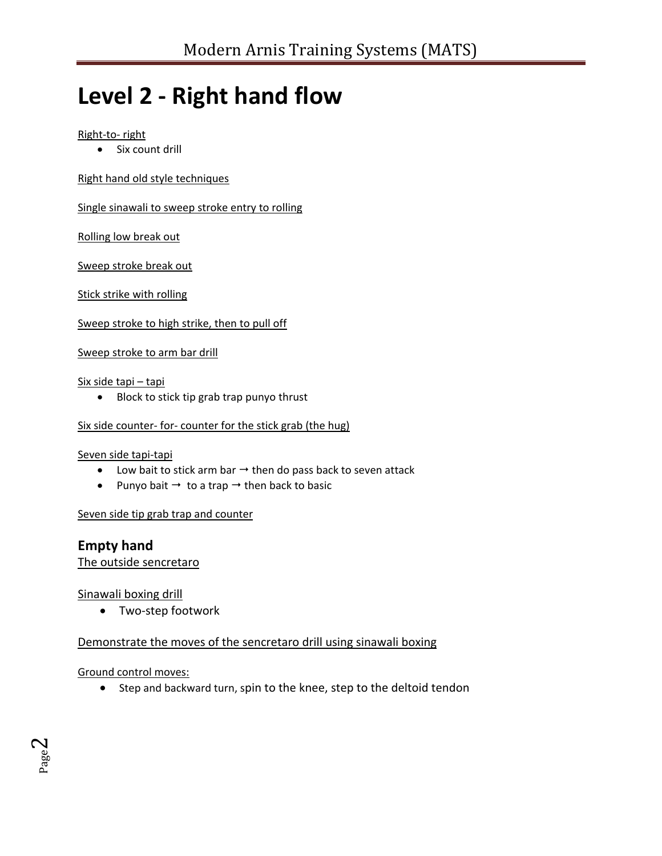# **Level 2 - Right hand flow**

#### Right-to- right

Six count drill

Right hand old style techniques

Single sinawali to sweep stroke entry to rolling

Rolling low break out

Sweep stroke break out

Stick strike with rolling

Sweep stroke to high strike, then to pull off

Sweep stroke to arm bar drill

#### Six side tapi – tapi

• Block to stick tip grab trap punyo thrust

#### Six side counter- for- counter for the stick grab (the hug)

#### Seven side tapi-tapi

- $\bullet$  Low bait to stick arm bar  $\rightarrow$  then do pass back to seven attack
- Punyo bait  $\rightarrow$  to a trap  $\rightarrow$  then back to basic

Seven side tip grab trap and counter

**Empty hand** 

The outside sencretaro

Sinawali boxing drill

Two-step footwork

Demonstrate the moves of the sencretaro drill using sinawali boxing

Ground control moves:

• Step and backward turn, spin to the knee, step to the deltoid tendon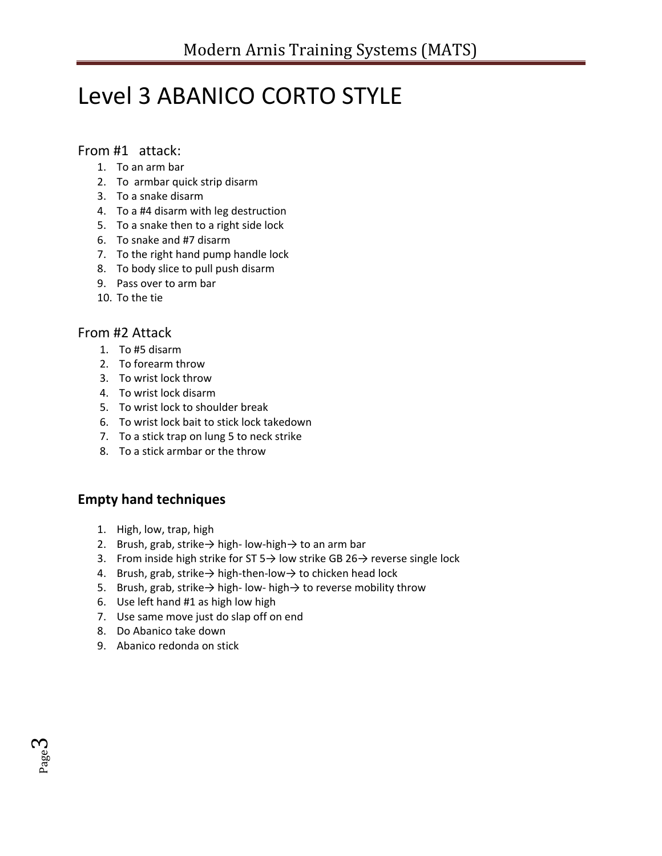# Level 3 ABANICO CORTO STYLE

#### From #1 attack:

- 1. To an arm bar
- 2. To armbar quick strip disarm
- 3. To a snake disarm
- 4. To a #4 disarm with leg destruction
- 5. To a snake then to a right side lock
- 6. To snake and #7 disarm
- 7. To the right hand pump handle lock
- 8. To body slice to pull push disarm
- 9. Pass over to arm bar
- 10. To the tie

#### From #2 Attack

- 1. To #5 disarm
- 2. To forearm throw
- 3. To wrist lock throw
- 4. To wrist lock disarm
- 5. To wrist lock to shoulder break
- 6. To wrist lock bait to stick lock takedown
- 7. To a stick trap on lung 5 to neck strike
- 8. To a stick armbar or the throw

## **Empty hand techniques**

- 1. High, low, trap, high
- 2. Brush, grab, strike $\rightarrow$  high-low-high $\rightarrow$  to an arm bar
- 3. From inside high strike for ST 5 $\rightarrow$  low strike GB 26 $\rightarrow$  reverse single lock
- 4. Brush, grab, strike→ high-then-low→ to chicken head lock
- 5. Brush, grab, strike→ high- low- high→ to reverse mobility throw
- 6. Use left hand #1 as high low high
- 7. Use same move just do slap off on end
- 8. Do Abanico take down
- 9. Abanico redonda on stick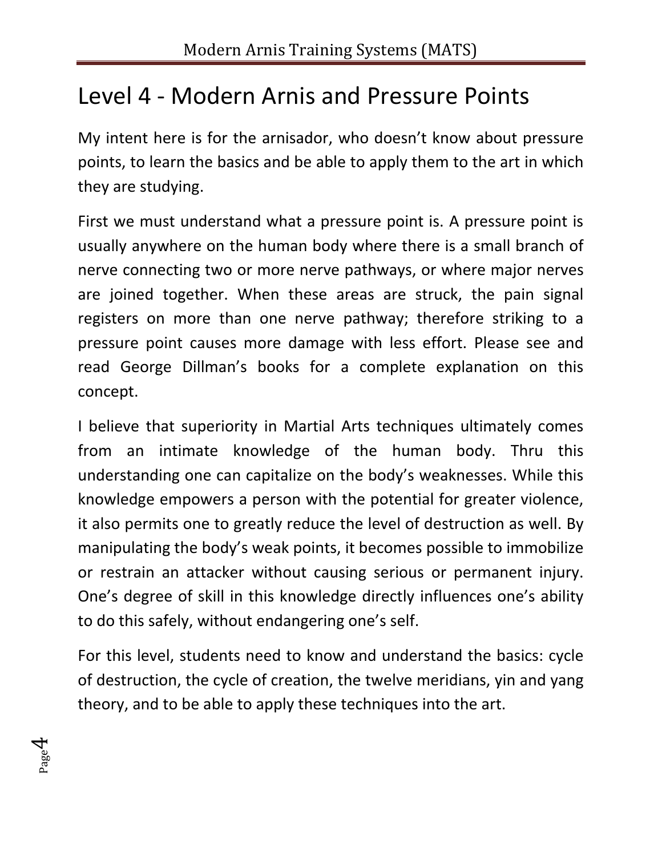## Level 4 - Modern Arnis and Pressure Points

My intent here is for the arnisador, who doesn't know about pressure points, to learn the basics and be able to apply them to the art in which they are studying.

First we must understand what a pressure point is. A pressure point is usually anywhere on the human body where there is a small branch of nerve connecting two or more nerve pathways, or where major nerves are joined together. When these areas are struck, the pain signal registers on more than one nerve pathway; therefore striking to a pressure point causes more damage with less effort. Please see and read George Dillman's books for a complete explanation on this concept.

I believe that superiority in Martial Arts techniques ultimately comes from an intimate knowledge of the human body. Thru this understanding one can capitalize on the body's weaknesses. While this knowledge empowers a person with the potential for greater violence, it also permits one to greatly reduce the level of destruction as well. By manipulating the body's weak points, it becomes possible to immobilize or restrain an attacker without causing serious or permanent injury. One's degree of skill in this knowledge directly influences one's ability to do this safely, without endangering one's self.

For this level, students need to know and understand the basics: cycle of destruction, the cycle of creation, the twelve meridians, yin and yang theory, and to be able to apply these techniques into the art.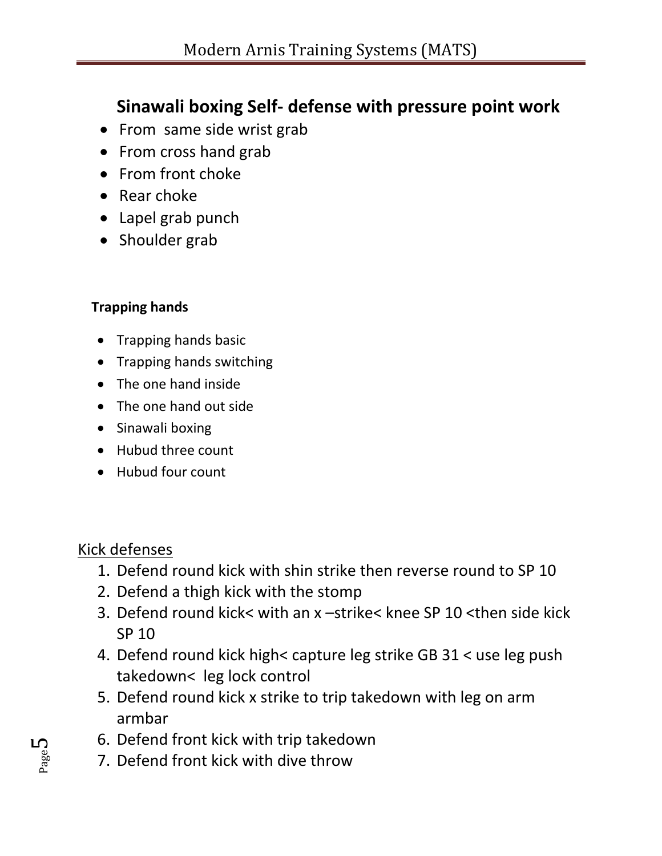## **Sinawali boxing Self- defense with pressure point work**

- From same side wrist grab
- From cross hand grab
- From front choke
- Rear choke
- Lapel grab punch
- Shoulder grab

## **Trapping hands**

- Trapping hands basic
- Trapping hands switching
- The one hand inside
- The one hand out side
- Sinawali boxing
- Hubud three count
- Hubud four count

## Kick defenses

- 1. Defend round kick with shin strike then reverse round to SP 10
- 2. Defend a thigh kick with the stomp
- 3. Defend round kick< with an x –strike< knee SP 10 <then side kick SP 10
- 4. Defend round kick high< capture leg strike GB 31 < use leg push takedown< leg lock control
- 5. Defend round kick x strike to trip takedown with leg on arm armbar
- 6. Defend front kick with trip takedown
- 7. Defend front kick with dive throw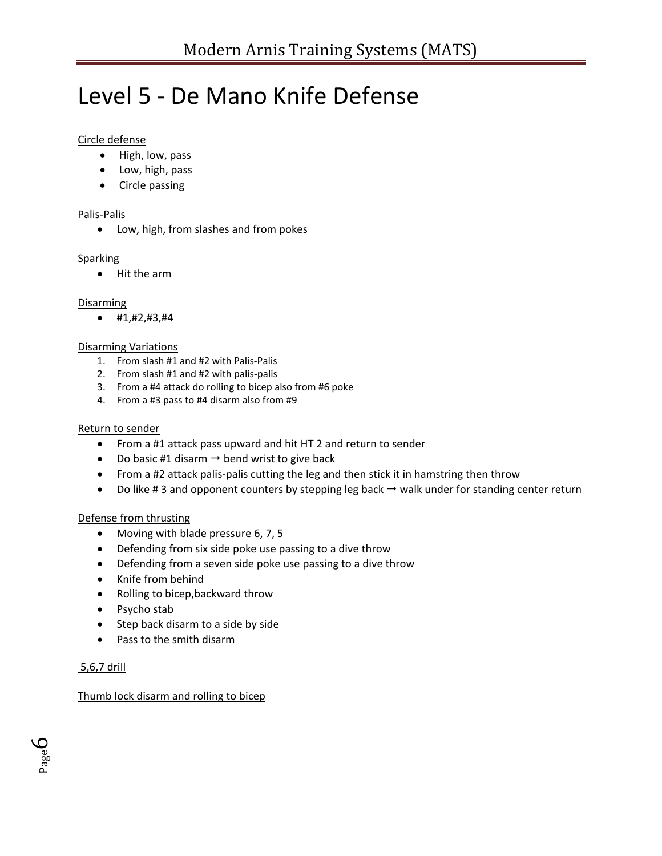# Level 5 - De Mano Knife Defense

#### Circle defense

- High, low, pass
- Low, high, pass
- Circle passing

#### Palis-Palis

Low, high, from slashes and from pokes

#### **Sparking**

Hit the arm

#### **Disarming**

 $\bullet$  #1,#2,#3,#4

#### Disarming Variations

- 1. From slash #1 and #2 with Palis-Palis
- 2. From slash #1 and #2 with palis-palis
- 3. From a #4 attack do rolling to bicep also from #6 poke
- 4. From a #3 pass to #4 disarm also from #9

#### Return to sender

- From a #1 attack pass upward and hit HT 2 and return to sender
- Do basic #1 disarm  $\rightarrow$  bend wrist to give back
- From a #2 attack palis-palis cutting the leg and then stick it in hamstring then throw
- Do like #3 and opponent counters by stepping leg back  $\rightarrow$  walk under for standing center return

#### Defense from thrusting

- Moving with blade pressure 6, 7, 5
- Defending from six side poke use passing to a dive throw
- Defending from a seven side poke use passing to a dive throw
- Knife from behind
- Rolling to bicep,backward throw
- Psycho stab
- Step back disarm to a side by side
- Pass to the smith disarm

#### 5,6,7 drill

#### Thumb lock disarm and rolling to bicep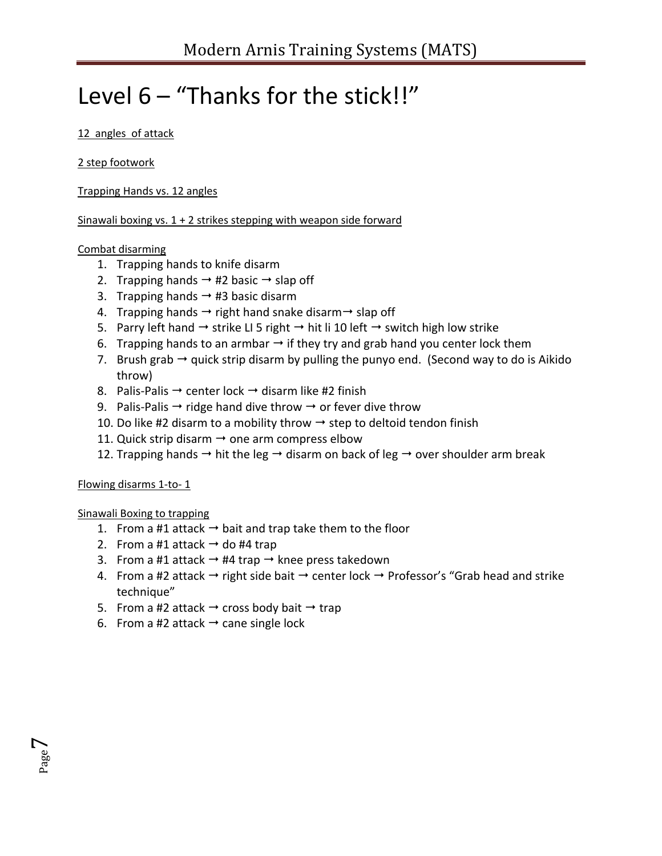# Level 6 – "Thanks for the stick!!"

#### 12 angles of attack

#### 2 step footwork

Trapping Hands vs. 12 angles

Sinawali boxing vs.  $1 + 2$  strikes stepping with weapon side forward

#### Combat disarming

- 1. Trapping hands to knife disarm
- 2. Trapping hands  $\rightarrow$  #2 basic  $\rightarrow$  slap off
- 3. Trapping hands  $\rightarrow$  #3 basic disarm
- 4. Trapping hands  $\rightarrow$  right hand snake disarm  $\rightarrow$  slap off
- 5. Parry left hand  $\rightarrow$  strike LI 5 right  $\rightarrow$  hit li 10 left  $\rightarrow$  switch high low strike
- 6. Trapping hands to an armbar  $\rightarrow$  if they try and grab hand you center lock them
- 7. Brush grab  $\rightarrow$  quick strip disarm by pulling the punyo end. (Second way to do is Aikido throw)
- 8. Palis-Palis  $\rightarrow$  center lock  $\rightarrow$  disarm like #2 finish
- 9. Palis-Palis  $\rightarrow$  ridge hand dive throw  $\rightarrow$  or fever dive throw
- 10. Do like #2 disarm to a mobility throw  $\rightarrow$  step to deltoid tendon finish
- 11. Quick strip disarm  $\rightarrow$  one arm compress elbow
- 12. Trapping hands  $\rightarrow$  hit the leg  $\rightarrow$  disarm on back of leg  $\rightarrow$  over shoulder arm break

#### Flowing disarms 1-to- 1

Page  $\overline{\phantom{a}}$ 

Sinawali Boxing to trapping

- 1. From a #1 attack  $\rightarrow$  bait and trap take them to the floor
- 2. From a #1 attack  $\rightarrow$  do #4 trap
- 3. From a #1 attack  $\rightarrow$  #4 trap  $\rightarrow$  knee press takedown
- 4. From a #2 attack  $\rightarrow$  right side bait  $\rightarrow$  center lock  $\rightarrow$  Professor's "Grab head and strike technique"
- 5. From a #2 attack  $\rightarrow$  cross body bait  $\rightarrow$  trap
- 6. From a #2 attack  $\rightarrow$  cane single lock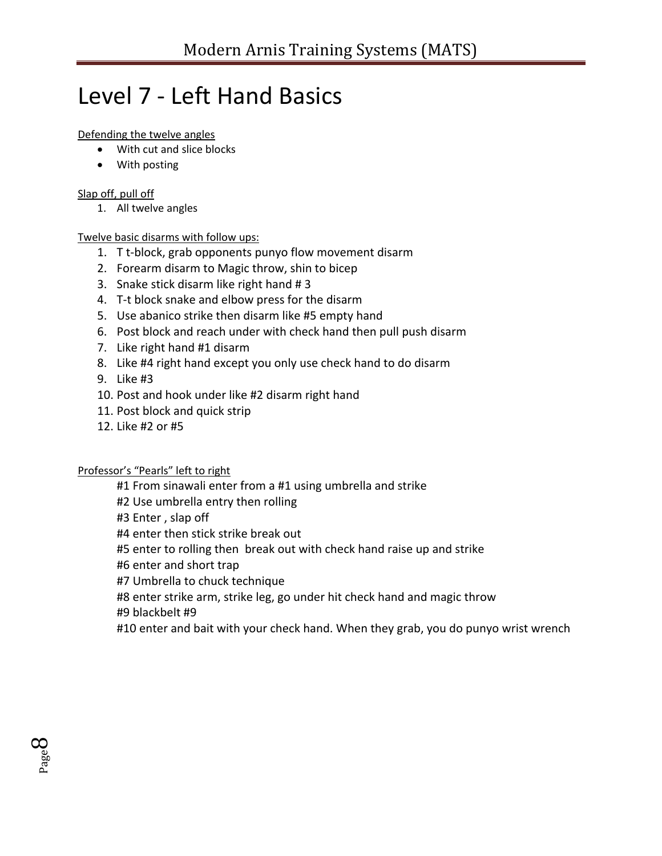# Level 7 - Left Hand Basics

#### Defending the twelve angles

- With cut and slice blocks
- With posting

#### Slap off, pull off

1. All twelve angles

#### Twelve basic disarms with follow ups:

- 1. T t-block, grab opponents punyo flow movement disarm
- 2. Forearm disarm to Magic throw, shin to bicep
- 3. Snake stick disarm like right hand # 3
- 4. T-t block snake and elbow press for the disarm
- 5. Use abanico strike then disarm like #5 empty hand
- 6. Post block and reach under with check hand then pull push disarm
- 7. Like right hand #1 disarm
- 8. Like #4 right hand except you only use check hand to do disarm
- 9. Like #3

Page  $\infty$ 

- 10. Post and hook under like #2 disarm right hand
- 11. Post block and quick strip
- 12. Like #2 or #5

#### Professor's "Pearls" left to right

#1 From sinawali enter from a #1 using umbrella and strike

#2 Use umbrella entry then rolling

#3 Enter , slap off

#4 enter then stick strike break out

#5 enter to rolling then break out with check hand raise up and strike

#6 enter and short trap

#7 Umbrella to chuck technique

#8 enter strike arm, strike leg, go under hit check hand and magic throw #9 blackbelt #9

#10 enter and bait with your check hand. When they grab, you do punyo wrist wrench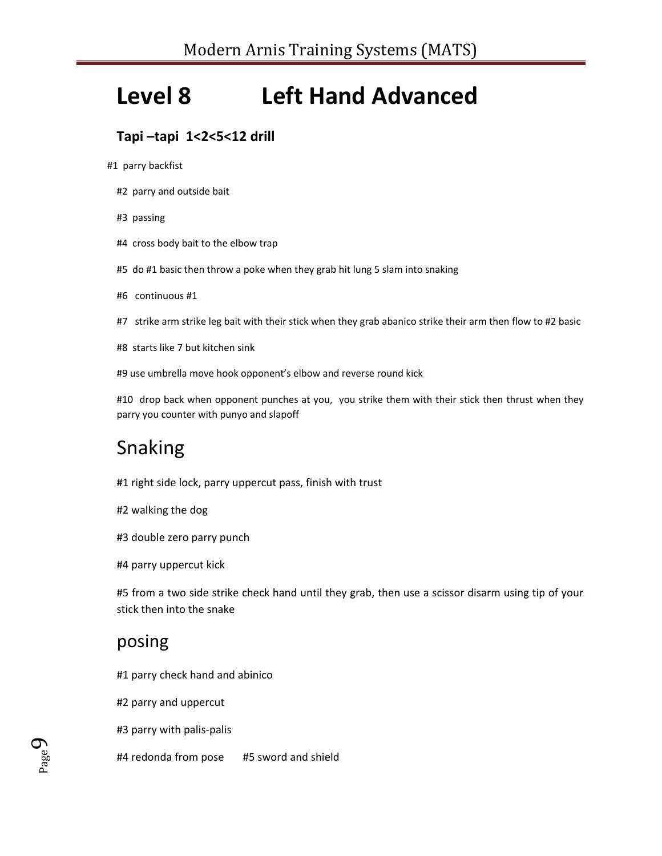# **Level 8 Left Hand Advanced**

## **Tapi –tapi 1<2<5<12 drill**

#1 parry backfist

- #2 parry and outside bait
- #3 passing
- #4 cross body bait to the elbow trap
- #5 do #1 basic then throw a poke when they grab hit lung 5 slam into snaking
- #6 continuous #1
- #7 strike arm strike leg bait with their stick when they grab abanico strike their arm then flow to #2 basic
- #8 starts like 7 but kitchen sink
- #9 use umbrella move hook opponent's elbow and reverse round kick

#10 drop back when opponent punches at you, you strike them with their stick then thrust when they parry you counter with punyo and slapoff

## Snaking

- #1 right side lock, parry uppercut pass, finish with trust
- #2 walking the dog
- #3 double zero parry punch
- #4 parry uppercut kick

#5 from a two side strike check hand until they grab, then use a scissor disarm using tip of your stick then into the snake

## posing

Page  $\sigma$ 

- #1 parry check hand and abinico
- #2 parry and uppercut
- #3 parry with palis-palis
- #4 redonda from pose #5 sword and shield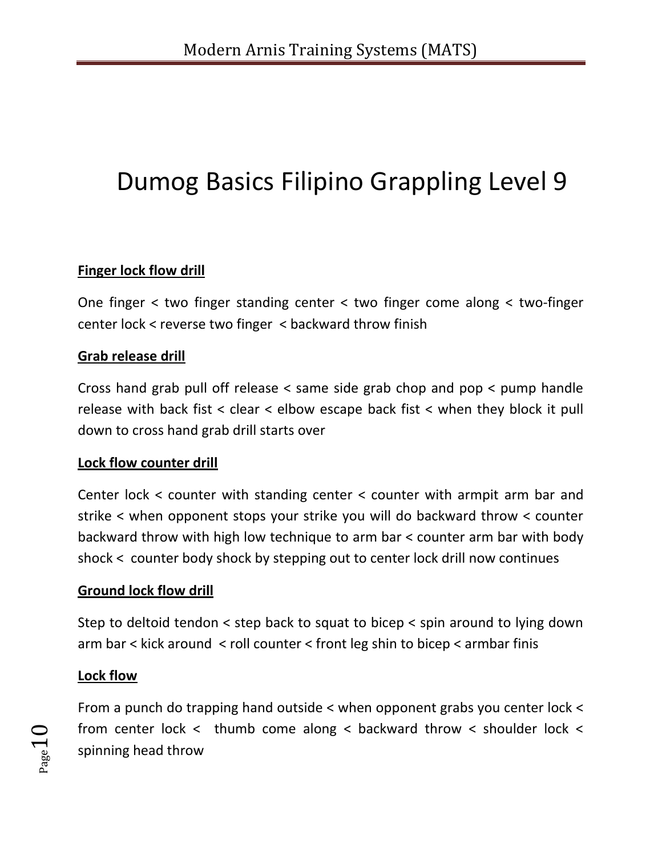# Dumog Basics Filipino Grappling Level 9

## **Finger lock flow drill**

One finger < two finger standing center < two finger come along < two-finger center lock < reverse two finger < backward throw finish

### **Grab release drill**

Cross hand grab pull off release < same side grab chop and pop < pump handle release with back fist < clear < elbow escape back fist < when they block it pull down to cross hand grab drill starts over

#### **Lock flow counter drill**

Center lock < counter with standing center < counter with armpit arm bar and strike < when opponent stops your strike you will do backward throw < counter backward throw with high low technique to arm bar < counter arm bar with body shock < counter body shock by stepping out to center lock drill now continues

#### **Ground lock flow drill**

Step to deltoid tendon < step back to squat to bicep < spin around to lying down arm bar < kick around < roll counter < front leg shin to bicep < armbar finis

## **Lock flow**

From a punch do trapping hand outside < when opponent grabs you center lock < from center lock < thumb come along < backward throw < shoulder lock < spinning head throw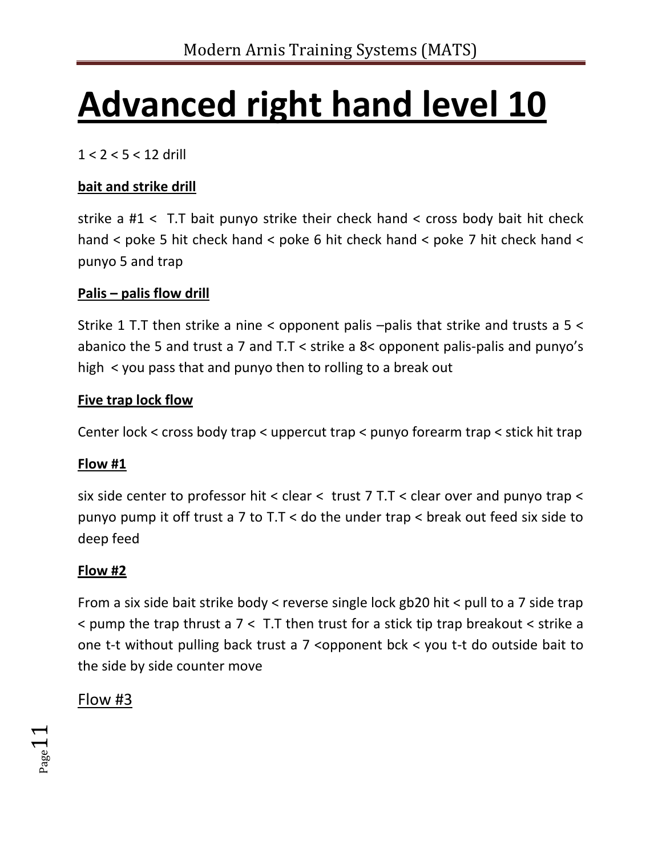# **Advanced right hand level 10**

1 < 2 < 5 < 12 drill

## **bait and strike drill**

strike a #1 < T.T bait punyo strike their check hand < cross body bait hit check hand < poke 5 hit check hand < poke 6 hit check hand < poke 7 hit check hand < punyo 5 and trap

## **Palis – palis flow drill**

Strike 1 T.T then strike a nine < opponent palis –palis that strike and trusts a 5 < abanico the 5 and trust a 7 and T.T < strike a 8< opponent palis-palis and punyo's high < you pass that and punyo then to rolling to a break out

## **Five trap lock flow**

Center lock < cross body trap < uppercut trap < punyo forearm trap < stick hit trap

## **Flow #1**

six side center to professor hit < clear < trust 7 T.T < clear over and punyo trap < punyo pump it off trust a 7 to  $T$ . T < do the under trap < break out feed six side to deep feed

## **Flow #2**

From a six side bait strike body < reverse single lock gb20 hit < pull to a 7 side trap < pump the trap thrust a 7 < T.T then trust for a stick tip trap breakout < strike a one t-t without pulling back trust a 7 <opponent bck < you t-t do outside bait to the side by side counter move

## Flow #3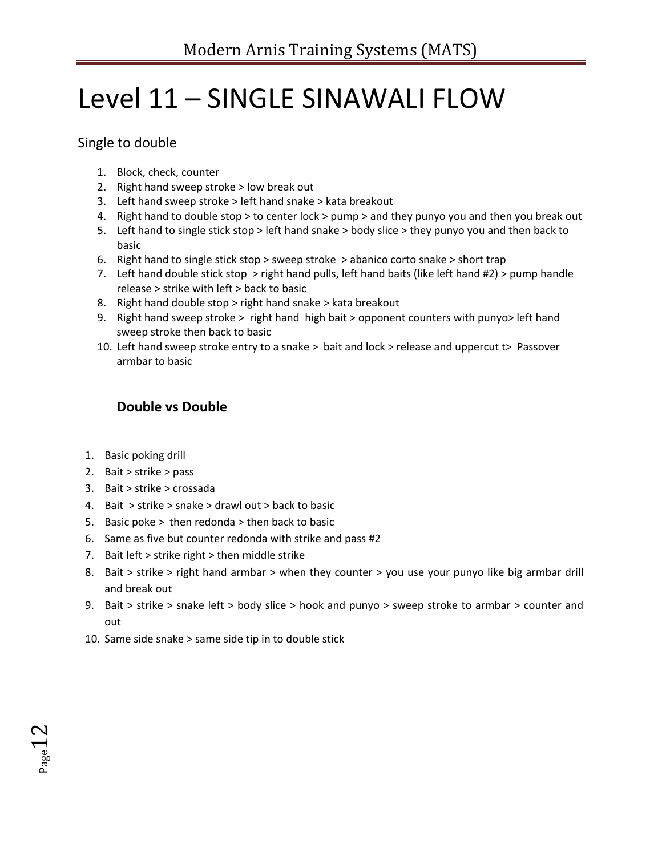# Level 11 – SINGLE SINAWALI FLOW

Single to double

- 1. Block, check, counter
- 2. Right hand sweep stroke > low break out
- 3. Left hand sweep stroke > left hand snake > kata breakout
- 4. Right hand to double stop > to center lock > pump > and they punyo you and then you break out
- 5. Left hand to single stick stop > left hand snake > body slice > they punyo you and then back to basic
- 6. Right hand to single stick stop > sweep stroke > abanico corto snake > short trap
- 7. Left hand double stick stop > right hand pulls, left hand baits (like left hand #2) > pump handle release > strike with left > back to basic
- 8. Right hand double stop > right hand snake > kata breakout
- 9. Right hand sweep stroke > right hand high bait > opponent counters with punyo> left hand sweep stroke then back to basic
- 10. Left hand sweep stroke entry to a snake > bait and lock > release and uppercut t> Passover armbar to basic

## **Double vs Double**

- 1. Basic poking drill
- 2. Bait > strike > pass
- 3. Bait > strike > crossada
- 4. Bait > strike > snake > drawl out > back to basic
- 5. Basic poke > then redonda > then back to basic
- 6. Same as five but counter redonda with strike and pass #2
- 7. Bait left  $>$  strike right  $>$  then middle strike
- 8. Bait > strike > right hand armbar > when they counter > you use your punyo like big armbar drill and break out
- 9. Bait > strike > snake left > body slice > hook and punyo > sweep stroke to armbar > counter and out
- 10. Same side snake > same side tip in to double stick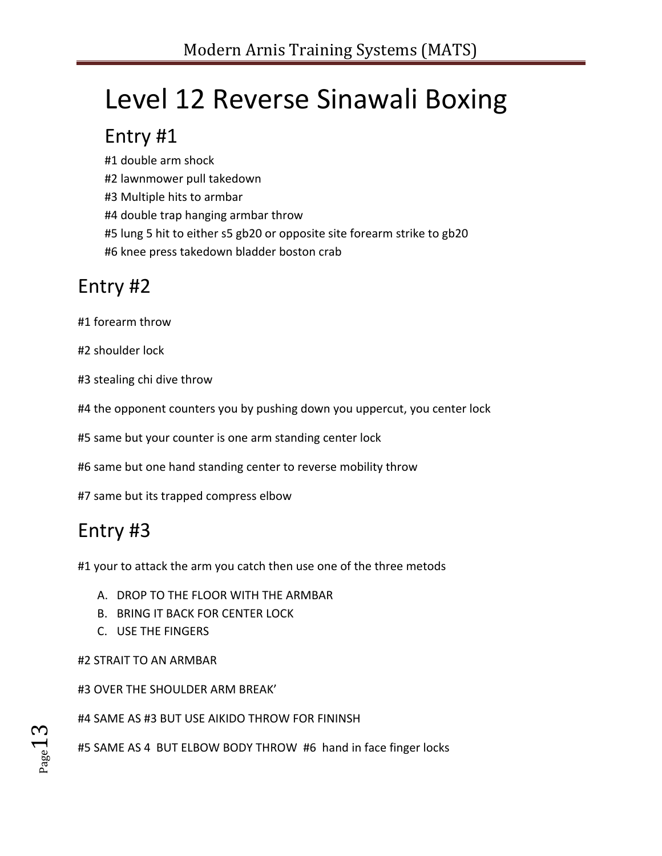# Level 12 Reverse Sinawali Boxing

## Entry #1

#1 double arm shock

#2 lawnmower pull takedown

#3 Multiple hits to armbar

#4 double trap hanging armbar throw

#5 lung 5 hit to either s5 gb20 or opposite site forearm strike to gb20

#6 knee press takedown bladder boston crab

## Entry #2

#1 forearm throw

#2 shoulder lock

#3 stealing chi dive throw

#4 the opponent counters you by pushing down you uppercut, you center lock

#5 same but your counter is one arm standing center lock

#6 same but one hand standing center to reverse mobility throw

#7 same but its trapped compress elbow

# Entry #3

#1 your to attack the arm you catch then use one of the three metods

- A. DROP TO THE FLOOR WITH THE ARMBAR
- B. BRING IT BACK FOR CENTER LOCK
- C. USE THE FINGERS

#2 STRAIT TO AN ARMBAR

#3 OVER THE SHOULDER ARM BREAK'

#4 SAME AS #3 BUT USE AIKIDO THROW FOR FININSH

#5 SAME AS 4 BUT ELBOW BODY THROW #6 hand in face finger locks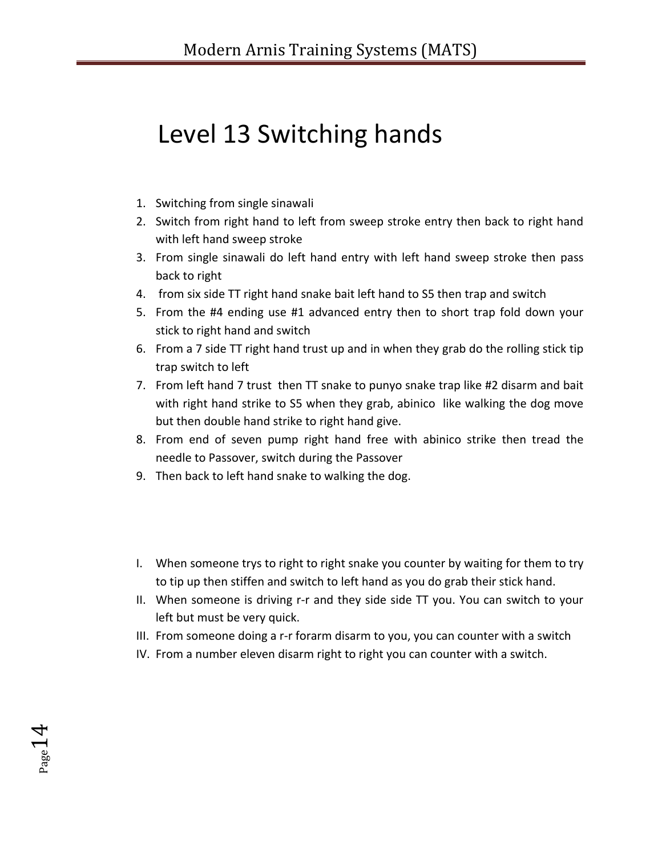# Level 13 Switching hands

- 1. Switching from single sinawali
- 2. Switch from right hand to left from sweep stroke entry then back to right hand with left hand sweep stroke
- 3. From single sinawali do left hand entry with left hand sweep stroke then pass back to right
- 4. from six side TT right hand snake bait left hand to S5 then trap and switch
- 5. From the #4 ending use #1 advanced entry then to short trap fold down your stick to right hand and switch
- 6. From a 7 side TT right hand trust up and in when they grab do the rolling stick tip trap switch to left
- 7. From left hand 7 trust then TT snake to punyo snake trap like #2 disarm and bait with right hand strike to S5 when they grab, abinico like walking the dog move but then double hand strike to right hand give.
- 8. From end of seven pump right hand free with abinico strike then tread the needle to Passover, switch during the Passover
- 9. Then back to left hand snake to walking the dog.

 $P_{\text{age}}14$ 

- I. When someone trys to right to right snake you counter by waiting for them to try to tip up then stiffen and switch to left hand as you do grab their stick hand.
- II. When someone is driving r-r and they side side TT you. You can switch to your left but must be very quick.
- III. From someone doing a r-r forarm disarm to you, you can counter with a switch
- IV. From a number eleven disarm right to right you can counter with a switch.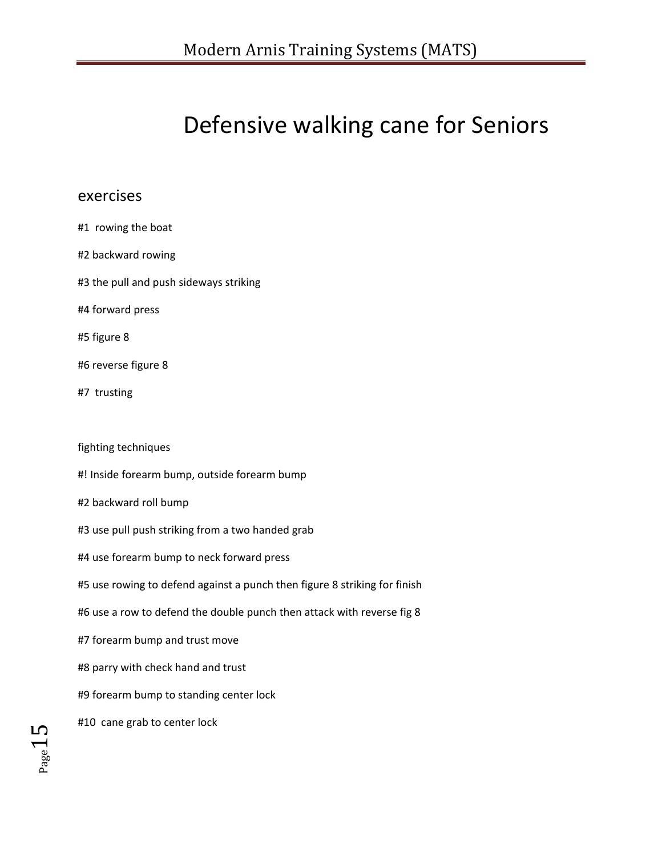# Defensive walking cane for Seniors

## exercises

| #1 rowing the boat                                                        |
|---------------------------------------------------------------------------|
| #2 backward rowing                                                        |
| #3 the pull and push sideways striking                                    |
| #4 forward press                                                          |
| #5 figure 8                                                               |
| #6 reverse figure 8                                                       |
| #7 trusting                                                               |
|                                                                           |
| fighting techniques                                                       |
| #! Inside forearm bump, outside forearm bump                              |
| #2 backward roll bump                                                     |
| #3 use pull push striking from a two handed grab                          |
| #4 use forearm bump to neck forward press                                 |
| #5 use rowing to defend against a punch then figure 8 striking for finish |
| #6 use a row to defend the double punch then attack with reverse fig 8    |
| #7 forearm bump and trust move                                            |
| #8 parry with check hand and trust                                        |
| #9 forearm bump to standing center lock                                   |
| #10 cane grab to center lock                                              |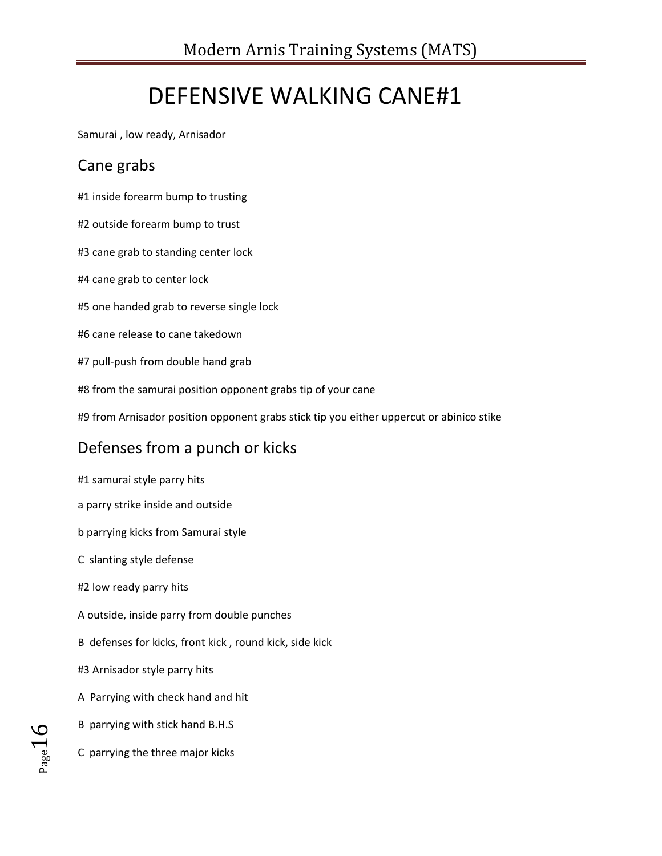# DEFENSIVE WALKING CANE#1

Samurai , low ready, Arnisador

## Cane grabs

#1 inside forearm bump to trusting

- #2 outside forearm bump to trust
- #3 cane grab to standing center lock
- #4 cane grab to center lock
- #5 one handed grab to reverse single lock
- #6 cane release to cane takedown
- #7 pull-push from double hand grab
- #8 from the samurai position opponent grabs tip of your cane
- #9 from Arnisador position opponent grabs stick tip you either uppercut or abinico stike

## Defenses from a punch or kicks

- #1 samurai style parry hits
- a parry strike inside and outside
- b parrying kicks from Samurai style
- C slanting style defense
- #2 low ready parry hits
- A outside, inside parry from double punches
- B defenses for kicks, front kick , round kick, side kick
- #3 Arnisador style parry hits
- A Parrying with check hand and hit
- B parrying with stick hand B.H.S
- C parrying the three major kicks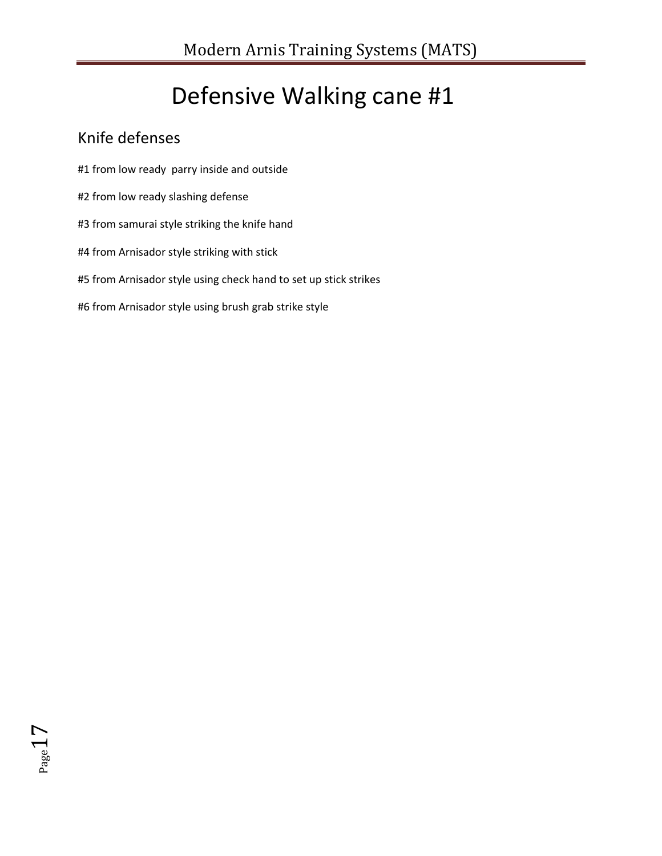# Defensive Walking cane #1

## Knife defenses

- #1 from low ready parry inside and outside
- #2 from low ready slashing defense
- #3 from samurai style striking the knife hand
- #4 from Arnisador style striking with stick
- #5 from Arnisador style using check hand to set up stick strikes
- #6 from Arnisador style using brush grab strike style